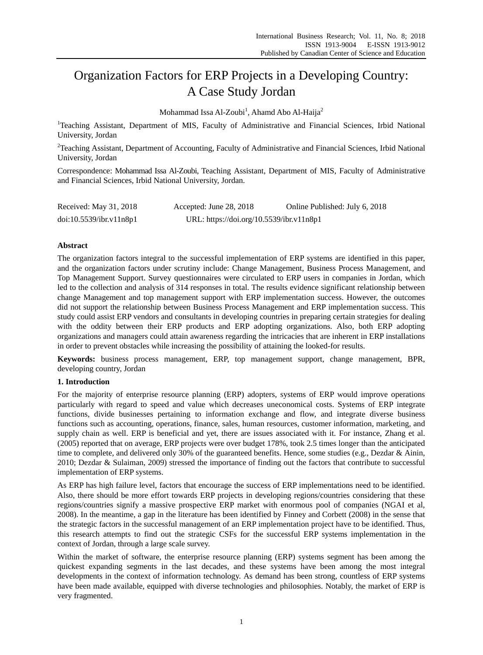# Organization Factors for ERP Projects in a Developing Country: A Case Study Jordan

Mohammad Issa Al-Zoubi $^{\rm l}$ , Ahamd Abo Al-Haija $^{\rm 2}$ 

<sup>1</sup>Teaching Assistant, Department of MIS, Faculty of Administrative and Financial Sciences, Irbid National University, Jordan

<sup>2</sup>Teaching Assistant, Department of Accounting, Faculty of Administrative and Financial Sciences, Irbid National University, Jordan

Correspondence: Mohammad Issa Al-Zoubi, Teaching Assistant, Department of MIS, Faculty of Administrative and Financial Sciences, Irbid National University, Jordan.

| Received: May 31, 2018  | Accepted: June 28, 2018                  | Online Published: July 6, 2018 |
|-------------------------|------------------------------------------|--------------------------------|
| doi:10.5539/ibr.v11n8p1 | URL: https://doi.org/10.5539/ibr.v11n8p1 |                                |

# **Abstract**

The organization factors integral to the successful implementation of ERP systems are identified in this paper, and the organization factors under scrutiny include: Change Management, Business Process Management, and Top Management Support. Survey questionnaires were circulated to ERP users in companies in Jordan, which led to the collection and analysis of 314 responses in total. The results evidence significant relationship between change Management and top management support with ERP implementation success. However, the outcomes did not support the relationship between Business Process Management and ERP implementation success. This study could assist ERP vendors and consultants in developing countries in preparing certain strategies for dealing with the oddity between their ERP products and ERP adopting organizations. Also, both ERP adopting organizations and managers could attain awareness regarding the intricacies that are inherent in ERP installations in order to prevent obstacles while increasing the possibility of attaining the looked-for results.

**Keywords:** business process management, ERP, top management support, change management, BPR, developing country, Jordan

# **1. Introduction**

For the majority of enterprise resource planning (ERP) adopters, systems of ERP would improve operations particularly with regard to speed and value which decreases uneconomical costs. Systems of ERP integrate functions, divide businesses pertaining to information exchange and flow, and integrate diverse business functions such as accounting, operations, finance, sales, human resources, customer information, marketing, and supply chain as well. ERP is beneficial and yet, there are issues associated with it. For instance, Zhang et al. (2005) reported that on average, ERP projects were over budget 178%, took 2.5 times longer than the anticipated time to complete, and delivered only 30% of the guaranteed benefits. Hence, some studies (e.g., Dezdar & Ainin, 2010; Dezdar & Sulaiman, 2009) stressed the importance of finding out the factors that contribute to successful implementation of ERP systems.

As ERP has high failure level, factors that encourage the success of ERP implementations need to be identified. Also, there should be more effort towards ERP projects in developing regions/countries considering that these regions/countries signify a massive prospective ERP market with enormous pool of companies (NGAI et al, 2008). In the meantime, a gap in the literature has been identified by Finney and Corbett (2008) in the sense that the strategic factors in the successful management of an ERP implementation project have to be identified. Thus, this research attempts to find out the strategic CSFs for the successful ERP systems implementation in the context of Jordan, through a large scale survey.

Within the market of software, the enterprise resource planning (ERP) systems segment has been among the quickest expanding segments in the last decades, and these systems have been among the most integral developments in the context of information technology. As demand has been strong, countless of ERP systems have been made available, equipped with diverse technologies and philosophies. Notably, the market of ERP is very fragmented.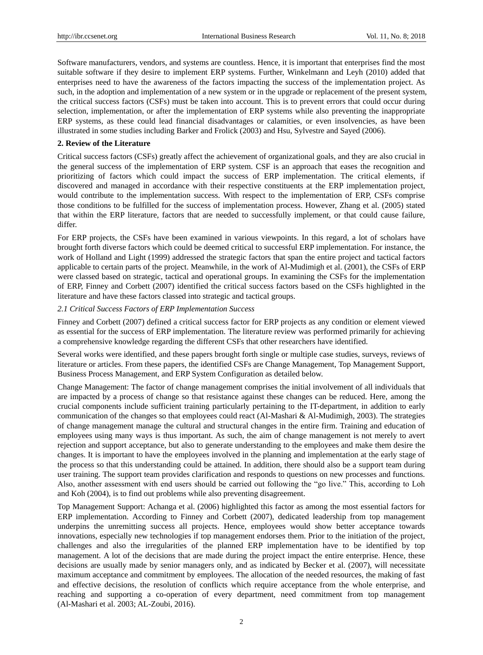Software manufacturers, vendors, and systems are countless. Hence, it is important that enterprises find the most suitable software if they desire to implement ERP systems. Further, Winkelmann and Leyh (2010) added that enterprises need to have the awareness of the factors impacting the success of the implementation project. As such, in the adoption and implementation of a new system or in the upgrade or replacement of the present system, the critical success factors (CSFs) must be taken into account. This is to prevent errors that could occur during selection, implementation, or after the implementation of ERP systems while also preventing the inappropriate ERP systems, as these could lead financial disadvantages or calamities, or even insolvencies, as have been illustrated in some studies including Barker and Frolick (2003) and Hsu, Sylvestre and Sayed (2006).

#### **2. Review of the Literature**

Critical success factors (CSFs) greatly affect the achievement of organizational goals, and they are also crucial in the general success of the implementation of ERP system. CSF is an approach that eases the recognition and prioritizing of factors which could impact the success of ERP implementation. The critical elements, if discovered and managed in accordance with their respective constituents at the ERP implementation project, would contribute to the implementation success. With respect to the implementation of ERP, CSFs comprise those conditions to be fulfilled for the success of implementation process. However, Zhang et al. (2005) stated that within the ERP literature, factors that are needed to successfully implement, or that could cause failure, differ.

For ERP projects, the CSFs have been examined in various viewpoints. In this regard, a lot of scholars have brought forth diverse factors which could be deemed critical to successful ERP implementation. For instance, the work of Holland and Light (1999) addressed the strategic factors that span the entire project and tactical factors applicable to certain parts of the project. Meanwhile, in the work of Al-Mudimigh et al. (2001), the CSFs of ERP were classed based on strategic, tactical and operational groups. In examining the CSFs for the implementation of ERP, Finney and Corbett (2007) identified the critical success factors based on the CSFs highlighted in the literature and have these factors classed into strategic and tactical groups.

#### *2.1 Critical Success Factors of ERP Implementation Success*

Finney and Corbett (2007) defined a critical success factor for ERP projects as any condition or element viewed as essential for the success of ERP implementation. The literature review was performed primarily for achieving a comprehensive knowledge regarding the different CSFs that other researchers have identified.

Several works were identified, and these papers brought forth single or multiple case studies, surveys, reviews of literature or articles. From these papers, the identified CSFs are Change Management, Top Management Support, Business Process Management, and ERP System Configuration as detailed below.

Change Management: The factor of change management comprises the initial involvement of all individuals that are impacted by a process of change so that resistance against these changes can be reduced. Here, among the crucial components include sufficient training particularly pertaining to the IT-department, in addition to early communication of the changes so that employees could react (Al-Mashari & Al-Mudimigh, 2003). The strategies of change management manage the cultural and structural changes in the entire firm. Training and education of employees using many ways is thus important. As such, the aim of change management is not merely to avert rejection and support acceptance, but also to generate understanding to the employees and make them desire the changes. It is important to have the employees involved in the planning and implementation at the early stage of the process so that this understanding could be attained. In addition, there should also be a support team during user training. The support team provides clarification and responds to questions on new processes and functions. Also, another assessment with end users should be carried out following the "go live." This, according to Loh and Koh (2004), is to find out problems while also preventing disagreement.

Top Management Support: Achanga et al. (2006) highlighted this factor as among the most essential factors for ERP implementation. According to Finney and Corbett (2007), dedicated leadership from top management underpins the unremitting success all projects. Hence, employees would show better acceptance towards innovations, especially new technologies if top management endorses them. Prior to the initiation of the project, challenges and also the irregularities of the planned ERP implementation have to be identified by top management. A lot of the decisions that are made during the project impact the entire enterprise. Hence, these decisions are usually made by senior managers only, and as indicated by Becker et al. (2007), will necessitate maximum acceptance and commitment by employees. The allocation of the needed resources, the making of fast and effective decisions, the resolution of conflicts which require acceptance from the whole enterprise, and reaching and supporting a co-operation of every department, need commitment from top management (Al-Mashari et al. 2003; AL-Zoubi, 2016).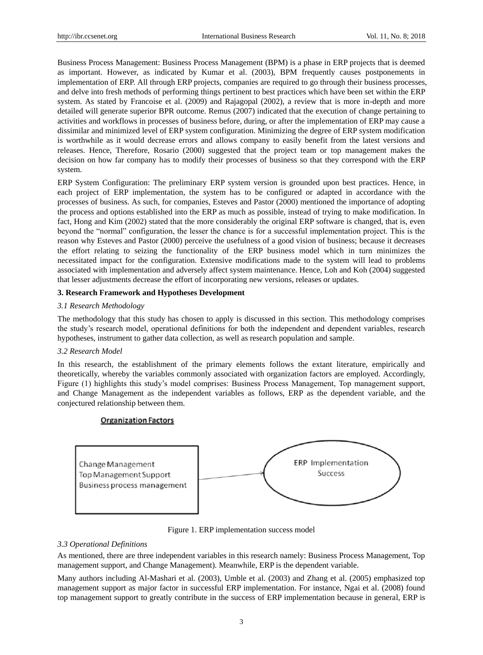Business Process Management: Business Process Management (BPM) is a phase in ERP projects that is deemed as important. However, as indicated by Kumar et al. (2003), BPM frequently causes postponements in implementation of ERP. All through ERP projects, companies are required to go through their business processes, and delve into fresh methods of performing things pertinent to best practices which have been set within the ERP system. As stated by Francoise et al. (2009) and Rajagopal (2002), a review that is more in-depth and more detailed will generate superior BPR outcome. Remus (2007) indicated that the execution of change pertaining to activities and workflows in processes of business before, during, or after the implementation of ERP may cause a dissimilar and minimized level of ERP system configuration. Minimizing the degree of ERP system modification is worthwhile as it would decrease errors and allows company to easily benefit from the latest versions and releases. Hence, Therefore, Rosario (2000) suggested that the project team or top management makes the decision on how far company has to modify their processes of business so that they correspond with the ERP system.

ERP System Configuration: The preliminary ERP system version is grounded upon best practices. Hence, in each project of ERP implementation, the system has to be configured or adapted in accordance with the processes of business. As such, for companies, Esteves and Pastor (2000) mentioned the importance of adopting the process and options established into the ERP as much as possible, instead of trying to make modification. In fact, Hong and Kim (2002) stated that the more considerably the original ERP software is changed, that is, even beyond the "normal" configuration, the lesser the chance is for a successful implementation project. This is the reason why Esteves and Pastor (2000) perceive the usefulness of a good vision of business; because it decreases the effort relating to seizing the functionality of the ERP business model which in turn minimizes the necessitated impact for the configuration. Extensive modifications made to the system will lead to problems associated with implementation and adversely affect system maintenance. Hence, Loh and Koh (2004) suggested that lesser adjustments decrease the effort of incorporating new versions, releases or updates.

## **3. Research Framework and Hypotheses Development**

## *3.1 Research Methodology*

The methodology that this study has chosen to apply is discussed in this section. This methodology comprises the study's research model, operational definitions for both the independent and dependent variables, research hypotheses, instrument to gather data collection, as well as research population and sample.

#### *3.2 Research Model*

In this research, the establishment of the primary elements follows the extant literature, empirically and theoretically, whereby the variables commonly associated with organization factors are employed. Accordingly, Figure (1) highlights this study's model comprises: Business Process Management, Top management support, and Change Management as the independent variables as follows, ERP as the dependent variable, and the conjectured relationship between them.

## **Organization Factors**



Figure 1. ERP implementation success model

#### *3.3 Operational Definitions*

As mentioned, there are three independent variables in this research namely: Business Process Management, Top management support, and Change Management). Meanwhile, ERP is the dependent variable.

Many authors including Al-Mashari et al. (2003), Umble et al. (2003) and Zhang et al. (2005) emphasized top management support as major factor in successful ERP implementation. For instance, Ngai et al. (2008) found top management support to greatly contribute in the success of ERP implementation because in general, ERP is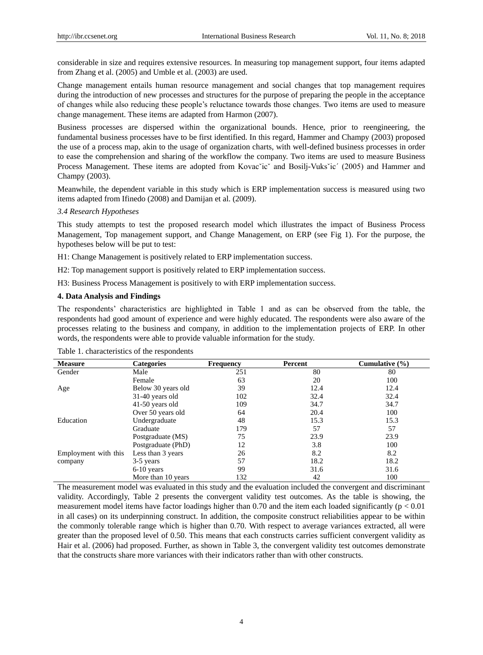considerable in size and requires extensive resources. In measuring top management support, four items adapted from Zhang et al. (2005) and Umble et al. (2003) are used.

Change management entails human resource management and social changes that top management requires during the introduction of new processes and structures for the purpose of preparing the people in the acceptance of changes while also reducing these people's reluctance towards those changes. Two items are used to measure change management. These items are adapted from Harmon (2007).

Business processes are dispersed within the organizational bounds. Hence, prior to reengineering, the fundamental business processes have to be first identified. In this regard, Hammer and Champy (2003) proposed the use of a process map, akin to the usage of organization charts, with well-defined business processes in order to ease the comprehension and sharing of the workflow the company. Two items are used to measure Business Process Management. These items are adopted from Kovac<sup>x</sup>ic<sup>x</sup> and Bosilj-Vuks<sup>x</sup>ic<sup>'</sup> (2005) and Hammer and Champy (2003).

Meanwhile, the dependent variable in this study which is ERP implementation success is measured using two items adapted from Ifinedo (2008) and Damijan et al. (2009).

## *3.4 Research Hypotheses*

This study attempts to test the proposed research model which illustrates the impact of Business Process Management, Top management support, and Change Management, on ERP (see Fig 1). For the purpose, the hypotheses below will be put to test:

H1: Change Management is positively related to ERP implementation success.

H2: Top management support is positively related to ERP implementation success.

H3: Business Process Management is positively to with ERP implementation success.

#### **4. Data Analysis and Findings**

The respondents' characteristics are highlighted in Table 1 and as can be observed from the table, the respondents had good amount of experience and were highly educated. The respondents were also aware of the processes relating to the business and company, in addition to the implementation projects of ERP. In other words, the respondents were able to provide valuable information for the study.

| <b>Measure</b>       | <b>Categories</b>  | <b>Frequency</b> | Percent | Cumulative $(\% )$ |
|----------------------|--------------------|------------------|---------|--------------------|
| Gender               | Male               | 251              | 80      | 80                 |
|                      | Female             | 63               | 20      | 100                |
| Age                  | Below 30 years old | 39               | 12.4    | 12.4               |
|                      | 31-40 years old    | 102              | 32.4    | 32.4               |
|                      | 41-50 years old    | 109              | 34.7    | 34.7               |
|                      | Over 50 years old  | 64               | 20.4    | 100                |
| Education            | Undergraduate      | 48               | 15.3    | 15.3               |
|                      | Graduate           | 179              | 57      | 57                 |
|                      | Postgraduate (MS)  | 75               | 23.9    | 23.9               |
|                      | Postgraduate (PhD) | 12               | 3.8     | 100                |
| Employment with this | Less than 3 years  | 26               | 8.2     | 8.2                |
| company              | 3-5 years          | 57               | 18.2    | 18.2               |
|                      | $6-10$ years       | 99               | 31.6    | 31.6               |
|                      | More than 10 years | 132              | 42      | 100                |

Table 1. characteristics of the respondents

The measurement model was evaluated in this study and the evaluation included the convergent and discriminant validity. Accordingly, Table 2 presents the convergent validity test outcomes. As the table is showing, the measurement model items have factor loadings higher than 0.70 and the item each loaded significantly ( $p < 0.01$ ) in all cases) on its underpinning construct. In addition, the composite construct reliabilities appear to be within the commonly tolerable range which is higher than 0.70. With respect to average variances extracted, all were greater than the proposed level of 0.50. This means that each constructs carries sufficient convergent validity as Hair et al. (2006) had proposed. Further, as shown in Table 3, the convergent validity test outcomes demonstrate that the constructs share more variances with their indicators rather than with other constructs.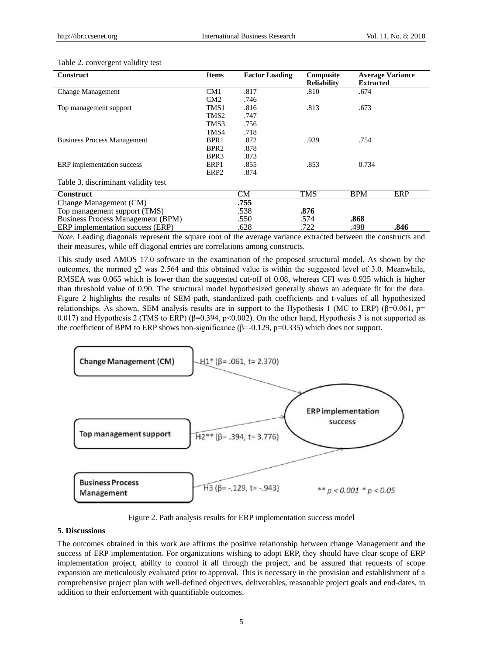# Table 2. convergent validity test

| <b>Construct</b>                         | <b>Items</b>     | <b>Factor Loading</b> | Composite<br><b>Reliability</b> | <b>Average Variance</b><br><b>Extracted</b> |      |
|------------------------------------------|------------------|-----------------------|---------------------------------|---------------------------------------------|------|
| <b>Change Management</b>                 | CM <sub>1</sub>  | .817                  | .810                            | .674                                        |      |
|                                          | CM2              | .746                  |                                 |                                             |      |
| Top management support                   | TMS1             | .816                  | .813                            | .673                                        |      |
|                                          | TMS <sub>2</sub> | .747                  |                                 |                                             |      |
|                                          | TMS3             | .756                  |                                 |                                             |      |
|                                          | TMS4             | .718                  |                                 |                                             |      |
| <b>Business Process Management</b>       | BPR1             | .872                  | .939                            | .754                                        |      |
|                                          | BPR <sub>2</sub> | .878                  |                                 |                                             |      |
|                                          | BPR3             | .873                  |                                 |                                             |      |
| ERP implementation success               | ERP1             | .855                  | .853                            | 0.734                                       |      |
|                                          | ERP <sub>2</sub> | .874                  |                                 |                                             |      |
| Table 3. discriminant validity test      |                  |                       |                                 |                                             |      |
| <b>Construct</b>                         |                  | CM                    | <b>TMS</b>                      | <b>BPM</b>                                  | ERP  |
| Change Management (CM)                   |                  | .755                  |                                 |                                             |      |
| Top management support (TMS)             |                  | .538                  | .876                            |                                             |      |
| <b>Business Process Management (BPM)</b> |                  | .550                  | .574                            | .868                                        |      |
| ERP implementation success (ERP)         |                  | .628                  | .722                            | .498                                        | .846 |

*Note.* Leading diagonals represent the square root of the average variance extracted between the constructs and their measures, while off diagonal entries are correlations among constructs.

This study used AMOS 17.0 software in the examination of the proposed structural model. As shown by the outcomes, the normed  $χ$ 2 was 2.564 and this obtained value is within the suggested level of 3.0. Meanwhile, RMSEA was 0.065 which is lower than the suggested cut-off of 0.08, whereas CFI was 0.925 which is higher than threshold value of 0.90. The structural model hypothesized generally shows an adequate fit for the data. Figure 2 highlights the results of SEM path, standardized path coefficients and t-values of all hypothesized relationships. As shown, SEM analysis results are in support to the Hypothesis 1 (MC to ERP) (β=0.061, p= 0.017) and Hypothesis 2 (TMS to ERP) ( $\beta$ =0.394, p<0.002). On the other hand, Hypothesis 3 is not supported as the coefficient of BPM to ERP shows non-significance ( $\beta$ =-0.129, p=0.335) which does not support.



Figure 2. Path analysis results for ERP implementation success model

# **5. Discussions**

The outcomes obtained in this work are affirms the positive relationship between change Management and the success of ERP implementation. For organizations wishing to adopt ERP, they should have clear scope of ERP implementation project, ability to control it all through the project, and be assured that requests of scope expansion are meticulously evaluated prior to approval. This is necessary in the provision and establishment of a comprehensive project plan with well-defined objectives, deliverables, reasonable project goals and end-dates, in addition to their enforcement with quantifiable outcomes.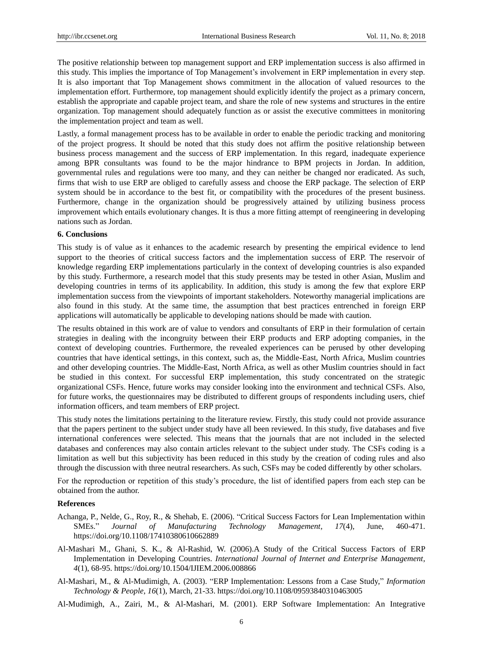The positive relationship between top management support and ERP implementation success is also affirmed in this study. This implies the importance of Top Management's involvement in ERP implementation in every step. It is also important that Top Management shows commitment in the allocation of valued resources to the implementation effort. Furthermore, top management should explicitly identify the project as a primary concern, establish the appropriate and capable project team, and share the role of new systems and structures in the entire organization. Top management should adequately function as or assist the executive committees in monitoring the implementation project and team as well.

Lastly, a formal management process has to be available in order to enable the periodic tracking and monitoring of the project progress. It should be noted that this study does not affirm the positive relationship between business process management and the success of ERP implementation. In this regard, inadequate experience among BPR consultants was found to be the major hindrance to BPM projects in Jordan. In addition, governmental rules and regulations were too many, and they can neither be changed nor eradicated. As such, firms that wish to use ERP are obliged to carefully assess and choose the ERP package. The selection of ERP system should be in accordance to the best fit, or compatibility with the procedures of the present business. Furthermore, change in the organization should be progressively attained by utilizing business process improvement which entails evolutionary changes. It is thus a more fitting attempt of reengineering in developing nations such as Jordan.

# **6. Conclusions**

This study is of value as it enhances to the academic research by presenting the empirical evidence to lend support to the theories of critical success factors and the implementation success of ERP. The reservoir of knowledge regarding ERP implementations particularly in the context of developing countries is also expanded by this study. Furthermore, a research model that this study presents may be tested in other Asian, Muslim and developing countries in terms of its applicability. In addition, this study is among the few that explore ERP implementation success from the viewpoints of important stakeholders. Noteworthy managerial implications are also found in this study. At the same time, the assumption that best practices entrenched in foreign ERP applications will automatically be applicable to developing nations should be made with caution.

The results obtained in this work are of value to vendors and consultants of ERP in their formulation of certain strategies in dealing with the incongruity between their ERP products and ERP adopting companies, in the context of developing countries. Furthermore, the revealed experiences can be perused by other developing countries that have identical settings, in this context, such as, the Middle-East, North Africa, Muslim countries and other developing countries. The Middle-East, North Africa, as well as other Muslim countries should in fact be studied in this context. For successful ERP implementation, this study concentrated on the strategic organizational CSFs. Hence, future works may consider looking into the environment and technical CSFs. Also, for future works, the questionnaires may be distributed to different groups of respondents including users, chief information officers, and team members of ERP project.

This study notes the limitations pertaining to the literature review. Firstly, this study could not provide assurance that the papers pertinent to the subject under study have all been reviewed. In this study, five databases and five international conferences were selected. This means that the journals that are not included in the selected databases and conferences may also contain articles relevant to the subject under study. The CSFs coding is a limitation as well but this subjectivity has been reduced in this study by the creation of coding rules and also through the discussion with three neutral researchers. As such, CSFs may be coded differently by other scholars.

For the reproduction or repetition of this study's procedure, the list of identified papers from each step can be obtained from the author.

#### **References**

- Achanga, P., Nelde, G., Roy, R., & Shehab, E. (2006). "Critical Success Factors for Lean Implementation within SMEs." *Journal of Manufacturing Technology Management, 17*(4), June, 460-471. https://doi.org/10.1108/17410380610662889
- Al-Mashari M., Ghani, S. K., & Al-Rashid, W. (2006).A Study of the Critical Success Factors of ERP Implementation in Developing Countries. *International Journal of Internet and Enterprise Management, 4*(1), 68-95. https://doi.org/10.1504/IJIEM.2006.008866
- Al-Mashari, M., & Al-Mudimigh, A. (2003). "ERP Implementation: Lessons from a Case Study," *Information Technology & People*, *16*(1), March, 21-33. https://doi.org/10.1108/09593840310463005
- Al-Mudimigh, A., Zairi, M., & Al-Mashari, M. (2001). ERP Software Implementation: An Integrative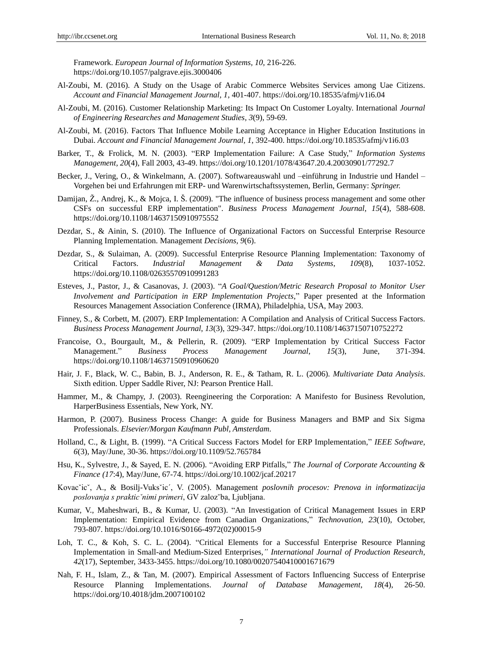Framework. *European Journal of Information Systems, 10,* 216-226. https://doi.org/10.1057/palgrave.ejis.3000406

- Al-Zoubi, M. (2016). A Study on the Usage of Arabic Commerce Websites Services among Uae Citizens. *Account and Financial Management Journal, 1*, 401-407. https://doi.org/10.18535/afmj/v1i6.04
- Al-Zoubi, M. (2016). Customer Relationship Marketing: Its Impact On Customer Loyalty. International *Journal of Engineering Researches and Management Studies, 3*(9), 59-69.
- Al-Zoubi, M. (2016). Factors That Influence Mobile Learning Acceptance in Higher Education Institutions in Dubai. *Account and Financial Management Journal, 1*, 392-400. https://doi.org/10.18535/afmj/v1i6.03
- Barker, T., & Frolick, M. N. (2003). "ERP Implementation Failure: A Case Study," *Information Systems Management, 20*(4), Fall 2003, 43-49. https://doi.org/10.1201/1078/43647.20.4.20030901/77292.7
- Becker, J., Vering, O., & Winkelmann, A. (2007). Softwareauswahl und –einführung in Industrie und Handel Vorgehen bei und Erfahrungen mit ERP- und Warenwirtschaftssystemen, Berlin, Germany: *Springer.*
- Damijan, Ž., Andrej, K., & Mojca, I. Š. (2009). "The influence of business process management and some other CSFs on successful ERP implementation". *Business Process Management Journal*, *15*(4), 588-608. https://doi.org/10.1108/14637150910975552
- Dezdar, S., & Ainin, S. (2010). The Influence of Organizational Factors on Successful Enterprise Resource Planning Implementation. Management *Decisions, 9*(6).
- Dezdar, S., & Sulaiman, A. (2009). Successful Enterprise Resource Planning Implementation: Taxonomy of Critical Factors. *Industrial Management & Data Systems*, *109*(8), 1037-1052. https://doi.org/10.1108/02635570910991283
- Esteves, J., Pastor, J., & Casanovas, J. (2003). "*A Goal/Question/Metric Research Proposal to Monitor User Involvement and Participation in ERP Implementation Projects*," Paper presented at the Information Resources Management Association Conference (IRMA), Philadelphia, USA, May 2003.
- Finney, S., & Corbett, M. (2007). ERP Implementation: A Compilation and Analysis of Critical Success Factors. *Business Process Management Journal*, *13*(3), 329-347. https://doi.org/10.1108/14637150710752272
- Francoise, O., Bourgault, M., & Pellerin, R. (2009). "ERP Implementation by Critical Success Factor Management." *Business Process Management Journal*, *15*(3), June, 371-394. https://doi.org/10.1108/14637150910960620
- Hair, J. F., Black, W. C., Babin, B. J., Anderson, R. E., & Tatham, R. L. (2006). *Multivariate Data Analysis*. Sixth edition. Upper Saddle River, NJ: Pearson Prentice Hall.
- Hammer, M., & Champy, J. (2003). Reengineering the Corporation: A Manifesto for Business Revolution, HarperBusiness Essentials, New York, NY.
- Harmon, P. (2007). Business Process Change: A guide for Business Managers and BMP and Six Sigma Professionals. *Elsevier/Morgan Kaufmann Publ, Amsterdam*.
- Holland, C., & Light, B. (1999). "A Critical Success Factors Model for ERP Implementation," *IEEE Software, 6*(3), May/June, 30-36. https://doi.org/10.1109/52.765784
- Hsu, K., Sylvestre, J., & Sayed, E. N. (2006). "Avoiding ERP Pitfalls," *The Journal of Corporate Accounting & Finance (17*:4), May/June, 67-74. https://doi.org/10.1002/jcaf.20217
- Kovacˇicˇ, A., & Bosilj-Vuksˇic´, V. (2005). Management *poslovnih procesov: Prenova in informatizacija poslovanja s prakticˇnimi primeri*, GV zalozˇba, Ljubljana.
- Kumar, V., Maheshwari, B., & Kumar, U. (2003). "An Investigation of Critical Management Issues in ERP Implementation: Empirical Evidence from Canadian Organizations," *Technovation, 23*(10), October, 793-807. https://doi.org/10.1016/S0166-4972(02)00015-9
- Loh, T. C., & Koh, S. C. L. (2004). "Critical Elements for a Successful Enterprise Resource Planning Implementation in Small-and Medium-Sized Enterprises*," International Journal of Production Research, 42*(17), September, 3433-3455. https://doi.org/10.1080/00207540410001671679
- Nah, F. H., Islam, Z., & Tan, M. (2007). Empirical Assessment of Factors Influencing Success of Enterprise Resource Planning Implementations. *Journal of Database Management*, *18*(4), 26-50. https://doi.org/10.4018/jdm.2007100102